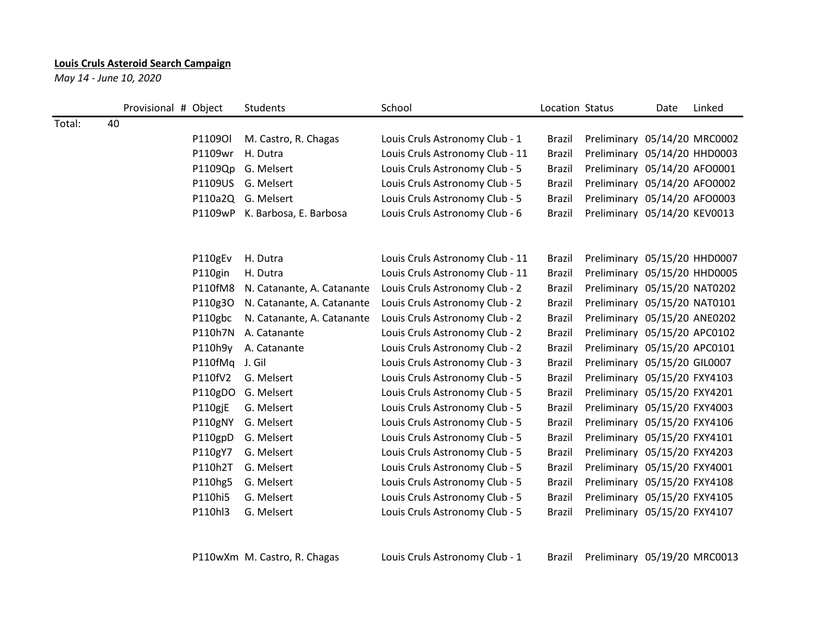## **Louis Cruls Asteroid Search Campaign**

*May 14 - June 10, 2020*

|        |    | Provisional # Object |         | Students                   | School                          | Location Status |                              | Date | Linked |
|--------|----|----------------------|---------|----------------------------|---------------------------------|-----------------|------------------------------|------|--------|
| Total: | 40 |                      |         |                            |                                 |                 |                              |      |        |
|        |    |                      | P11090l | M. Castro, R. Chagas       | Louis Cruls Astronomy Club - 1  | <b>Brazil</b>   | Preliminary 05/14/20 MRC0002 |      |        |
|        |    |                      | P1109wr | H. Dutra                   | Louis Cruls Astronomy Club - 11 | <b>Brazil</b>   | Preliminary 05/14/20 HHD0003 |      |        |
|        |    |                      | P1109Qp | G. Melsert                 | Louis Cruls Astronomy Club - 5  | <b>Brazil</b>   | Preliminary 05/14/20 AFO0001 |      |        |
|        |    |                      | P1109US | G. Melsert                 | Louis Cruls Astronomy Club - 5  | <b>Brazil</b>   | Preliminary 05/14/20 AFO0002 |      |        |
|        |    |                      | P110a2Q | G. Melsert                 | Louis Cruls Astronomy Club - 5  | <b>Brazil</b>   | Preliminary 05/14/20 AFO0003 |      |        |
|        |    |                      | P1109wP | K. Barbosa, E. Barbosa     | Louis Cruls Astronomy Club - 6  | <b>Brazil</b>   | Preliminary 05/14/20 KEV0013 |      |        |
|        |    |                      |         |                            |                                 |                 |                              |      |        |
|        |    |                      | P110gEv | H. Dutra                   | Louis Cruls Astronomy Club - 11 | <b>Brazil</b>   | Preliminary 05/15/20 HHD0007 |      |        |
|        |    |                      | P110gin | H. Dutra                   | Louis Cruls Astronomy Club - 11 | <b>Brazil</b>   | Preliminary 05/15/20 HHD0005 |      |        |
|        |    |                      | P110fM8 | N. Catanante, A. Catanante | Louis Cruls Astronomy Club - 2  | <b>Brazil</b>   | Preliminary 05/15/20 NAT0202 |      |        |
|        |    |                      | P110g3O | N. Catanante, A. Catanante | Louis Cruls Astronomy Club - 2  | <b>Brazil</b>   | Preliminary 05/15/20 NAT0101 |      |        |
|        |    |                      | P110gbc | N. Catanante, A. Catanante | Louis Cruls Astronomy Club - 2  | <b>Brazil</b>   | Preliminary 05/15/20 ANE0202 |      |        |
|        |    |                      | P110h7N | A. Catanante               | Louis Cruls Astronomy Club - 2  | <b>Brazil</b>   | Preliminary 05/15/20 APC0102 |      |        |
|        |    |                      | P110h9y | A. Catanante               | Louis Cruls Astronomy Club - 2  | <b>Brazil</b>   | Preliminary 05/15/20 APC0101 |      |        |
|        |    |                      | P110fMq | J. Gil                     | Louis Cruls Astronomy Club - 3  | <b>Brazil</b>   | Preliminary 05/15/20 GIL0007 |      |        |
|        |    |                      | P110fV2 | G. Melsert                 | Louis Cruls Astronomy Club - 5  | <b>Brazil</b>   | Preliminary 05/15/20 FXY4103 |      |        |
|        |    |                      | P110gDO | G. Melsert                 | Louis Cruls Astronomy Club - 5  | <b>Brazil</b>   | Preliminary 05/15/20 FXY4201 |      |        |
|        |    |                      | P110gjE | G. Melsert                 | Louis Cruls Astronomy Club - 5  | <b>Brazil</b>   | Preliminary 05/15/20 FXY4003 |      |        |
|        |    |                      | P110gNY | G. Melsert                 | Louis Cruls Astronomy Club - 5  | <b>Brazil</b>   | Preliminary 05/15/20 FXY4106 |      |        |
|        |    |                      | P110gpD | G. Melsert                 | Louis Cruls Astronomy Club - 5  | <b>Brazil</b>   | Preliminary 05/15/20 FXY4101 |      |        |
|        |    |                      | P110gY7 | G. Melsert                 | Louis Cruls Astronomy Club - 5  | <b>Brazil</b>   | Preliminary 05/15/20 FXY4203 |      |        |
|        |    |                      | P110h2T | G. Melsert                 | Louis Cruls Astronomy Club - 5  | <b>Brazil</b>   | Preliminary 05/15/20 FXY4001 |      |        |
|        |    |                      | P110hg5 | G. Melsert                 | Louis Cruls Astronomy Club - 5  | <b>Brazil</b>   | Preliminary 05/15/20 FXY4108 |      |        |
|        |    |                      | P110hi5 | G. Melsert                 | Louis Cruls Astronomy Club - 5  | <b>Brazil</b>   | Preliminary 05/15/20 FXY4105 |      |        |
|        |    |                      | P110hl3 | G. Melsert                 | Louis Cruls Astronomy Club - 5  | <b>Brazil</b>   | Preliminary 05/15/20 FXY4107 |      |        |
|        |    |                      |         |                            |                                 |                 |                              |      |        |

P110wXm M. Castro, R. Chagas Louis Cruls Astronomy Club - 1 Brazil Preliminary 05/19/20 MRC0013